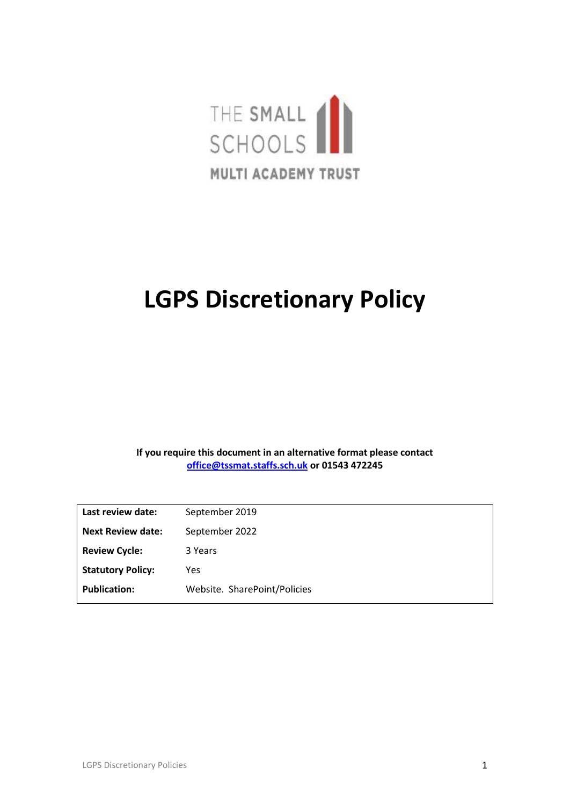

# **LGPS Discretionary Policy**

**If you require this document in an alternative format please contact [office@tssmat.staffs.sch.uk](mailto:office@tssmat.staffs.sch.uk) or 01543 472245**

| Last review date:        | September 2019               |
|--------------------------|------------------------------|
| <b>Next Review date:</b> | September 2022               |
| <b>Review Cycle:</b>     | 3 Years                      |
| <b>Statutory Policy:</b> | Yes                          |
| <b>Publication:</b>      | Website. SharePoint/Policies |
|                          |                              |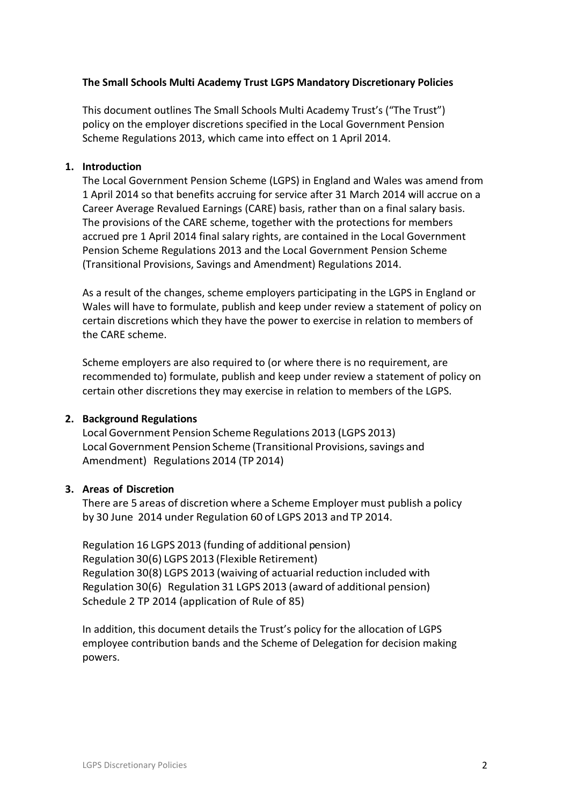#### **The Small Schools Multi Academy Trust LGPS Mandatory Discretionary Policies**

This document outlines The Small Schools Multi Academy Trust's ("The Trust") policy on the employer discretions specified in the Local Government Pension Scheme Regulations 2013, which came into effect on 1 April 2014.

#### **1. Introduction**

The Local Government Pension Scheme (LGPS) in England and Wales was amend from 1 April 2014 so that benefits accruing for service after 31 March 2014 will accrue on a Career Average Revalued Earnings (CARE) basis, rather than on a final salary basis. The provisions of the CARE scheme, together with the protections for members accrued pre 1 April 2014 final salary rights, are contained in the Local Government Pension Scheme Regulations 2013 and the Local Government Pension Scheme (Transitional Provisions, Savings and Amendment) Regulations 2014.

As a result of the changes, scheme employers participating in the LGPS in England or Wales will have to formulate, publish and keep under review a statement of policy on certain discretions which they have the power to exercise in relation to members of the CARE scheme.

Scheme employers are also required to (or where there is no requirement, are recommended to) formulate, publish and keep under review a statement of policy on certain other discretions they may exercise in relation to members of the LGPS.

#### **2. Background Regulations**

LocalGovernment Pension Scheme Regulations 2013 (LGPS 2013) Local Government Pension Scheme (Transitional Provisions, savings and Amendment) Regulations 2014 (TP 2014)

#### **3. Areas of Discretion**

There are 5 areas of discretion where a Scheme Employer must publish a policy by 30 June 2014 under Regulation 60 of LGPS 2013 and TP 2014.

Regulation 16 LGPS 2013 (funding of additional pension) Regulation 30(6) LGPS 2013 (Flexible Retirement) Regulation 30(8) LGPS 2013 (waiving of actuarial reduction included with Regulation 30(6) Regulation 31 LGPS 2013 (award of additional pension) Schedule 2 TP 2014 (application of Rule of 85)

In addition, this document details the Trust's policy for the allocation of LGPS employee contribution bands and the Scheme of Delegation for decision making powers.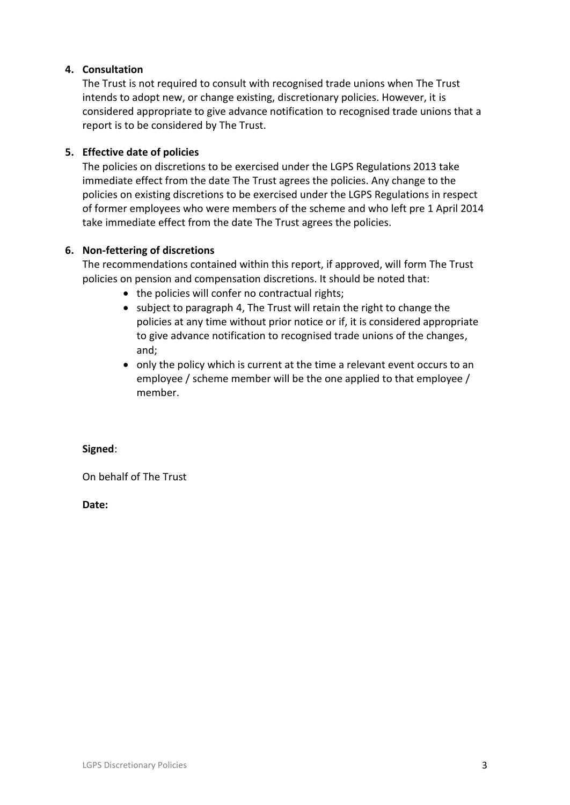## **4. Consultation**

The Trust is not required to consult with recognised trade unions when The Trust intends to adopt new, or change existing, discretionary policies. However, it is considered appropriate to give advance notification to recognised trade unions that a report is to be considered by The Trust.

#### **5. Effective date of policies**

The policies on discretions to be exercised under the LGPS Regulations 2013 take immediate effect from the date The Trust agrees the policies. Any change to the policies on existing discretions to be exercised under the LGPS Regulations in respect of former employees who were members of the scheme and who left pre 1 April 2014 take immediate effect from the date The Trust agrees the policies.

#### **6. Non-fettering of discretions**

The recommendations contained within this report, if approved, will form The Trust policies on pension and compensation discretions. It should be noted that:

- the policies will confer no contractual rights;
- subject to paragraph 4, The Trust will retain the right to change the policies at any time without prior notice or if, it is considered appropriate to give advance notification to recognised trade unions of the changes, and;
- only the policy which is current at the time a relevant event occurs to an employee / scheme member will be the one applied to that employee / member.

#### **Signed**:

On behalf of The Trust

#### **Date:**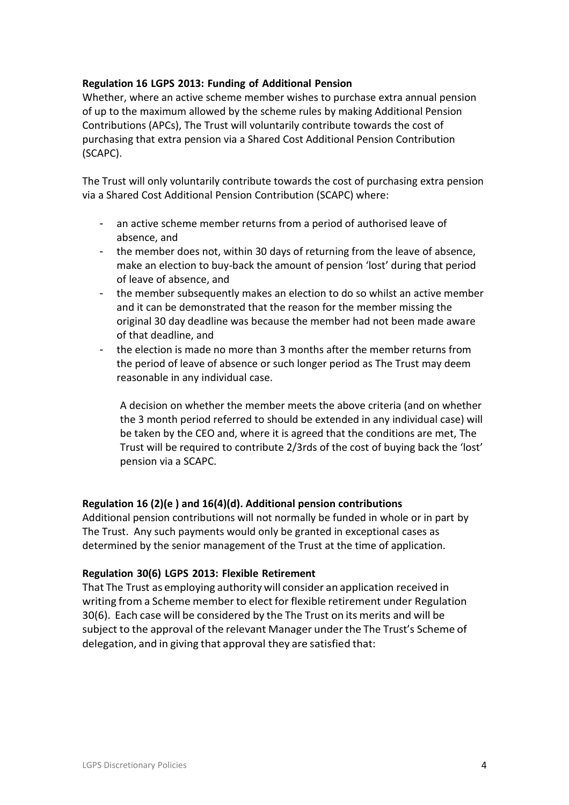#### **Regulation 16 LGPS 2013: Funding of Additional Pension**

Whether, where an active scheme member wishes to purchase extra annual pension of up to the maximum allowed by the scheme rules by making Additional Pension Contributions (APCs), The Trust will voluntarily contribute towards the cost of purchasing that extra pension via a Shared Cost Additional Pension Contribution (SCAPC).

The Trust will only voluntarily contribute towards the cost of purchasing extra pension via a Shared Cost Additional Pension Contribution (SCAPC) where:

- an active scheme member returns from a period of authorised leave of absence, and
- the member does not, within 30 days of returning from the leave of absence, make an election to buy-back the amount of pension 'lost' during that period of leave of absence, and
- the member subsequently makes an election to do so whilst an active member and it can be demonstrated that the reason for the member missing the original 30 day deadline was because the member had not been made aware of that deadline, and
- the election is made no more than 3 months after the member returns from the period of leave of absence or such longer period as The Trust may deem reasonable in any individual case.

A decision on whether the member meets the above criteria (and on whether the 3 month period referred to should be extended in any individual case) will be taken by the CEO and, where it is agreed that the conditions are met, The Trust will be required to contribute 2/3rds of the cost of buying back the 'lost' pension via a SCAPC.

#### **Regulation 16 (2)(e ) and 16(4)(d). Additional pension contributions**

Additional pension contributions will not normally be funded in whole or in part by The Trust. Any such payments would only be granted in exceptional cases as determined by the senior management of the Trust at the time of application.

#### **Regulation 30(6) LGPS 2013: Flexible Retirement**

That The Trust as employing authority will consider an application received in writing from a Scheme member to elect for flexible retirement under Regulation 30(6). Each case will be considered by the The Trust on its merits and will be subject to the approval of the relevant Manager under the The Trust's Scheme of delegation, and in giving that approval they are satisfied that: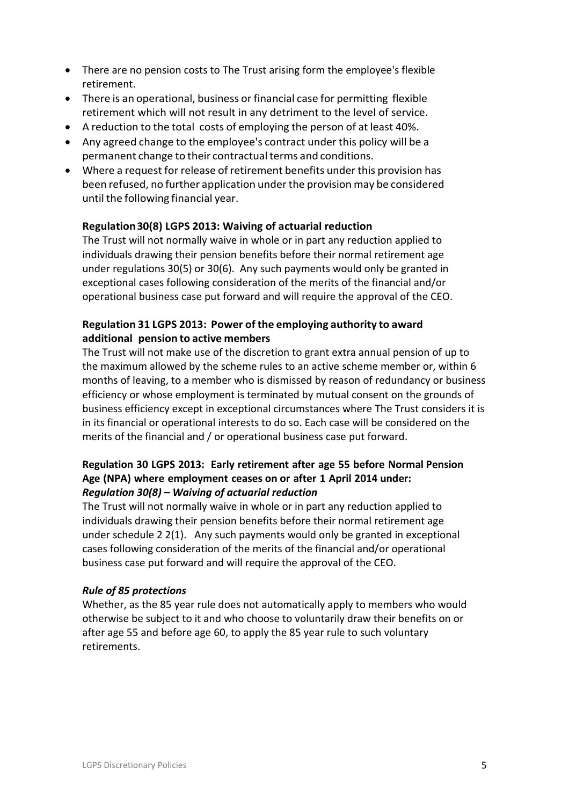- There are no pension costs to The Trust arising form the employee's flexible retirement.
- There is an operational, business or financial case for permitting flexible retirement which will not result in any detriment to the level of service.
- A reduction to the total costs of employing the person of at least 40%.
- Any agreed change to the employee's contract under this policy will be a permanent change to their contractual terms and conditions.
- Where a request for release of retirement benefits under this provision has been refused, no further application under the provision may be considered until the following financial year.

#### **Regulation30(8) LGPS 2013: Waiving of actuarial reduction**

The Trust will not normally waive in whole or in part any reduction applied to individuals drawing their pension benefits before their normal retirement age under regulations 30(5) or 30(6). Any such payments would only be granted in exceptional cases following consideration of the merits of the financial and/or operational business case put forward and will require the approval of the CEO.

## **Regulation 31 LGPS 2013: Power of the employing authority to award additional pension to active members**

The Trust will not make use of the discretion to grant extra annual pension of up to the maximum allowed by the scheme rules to an active scheme member or, within 6 months of leaving, to a member who is dismissed by reason of redundancy or business efficiency or whose employment is terminated by mutual consent on the grounds of business efficiency except in exceptional circumstances where The Trust considers it is in its financial or operational interests to do so. Each case will be considered on the merits of the financial and / or operational business case put forward.

### **Regulation 30 LGPS 2013: Early retirement after age 55 before Normal Pension Age (NPA) where employment ceases on or after 1 April 2014 under:** *Regulation 30(8) – Waiving of actuarial reduction*

The Trust will not normally waive in whole or in part any reduction applied to individuals drawing their pension benefits before their normal retirement age under schedule 2 2(1). Any such payments would only be granted in exceptional cases following consideration of the merits of the financial and/or operational business case put forward and will require the approval of the CEO.

#### *Rule of 85 protections*

Whether, as the 85 year rule does not automatically apply to members who would otherwise be subject to it and who choose to voluntarily draw their benefits on or after age 55 and before age 60, to apply the 85 year rule to such voluntary retirements.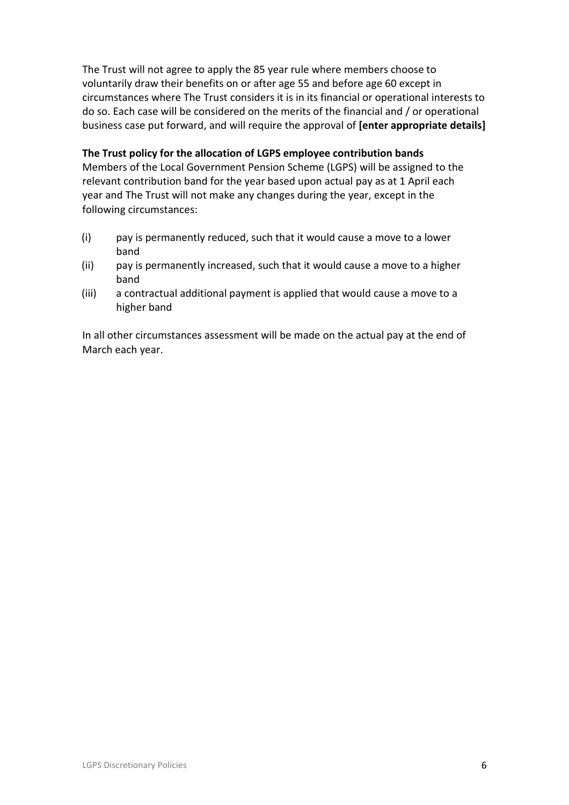The Trust will not agree to apply the 85 year rule where members choose to voluntarily draw their benefits on or after age 55 and before age 60 except in circumstances where The Trust considers it is in its financial or operational interests to do so. Each case will be considered on the merits of the financial and / or operational business case put forward, and will require the approval of **[enter appropriate details]**

#### **The Trust policy for the allocation of LGPS employee contribution bands**

Members of the Local Government Pension Scheme (LGPS) will be assigned to the relevant contribution band for the year based upon actual pay as at 1 April each year and The Trust will not make any changes during the year, except in the following circumstances:

- (i) pay is permanently reduced, such that it would cause a move to a lower band
- (ii) pay is permanently increased, such that it would cause a move to a higher band
- (iii) a contractual additional payment is applied that would cause a move to a higher band

In all other circumstances assessment will be made on the actual pay at the end of March each year.